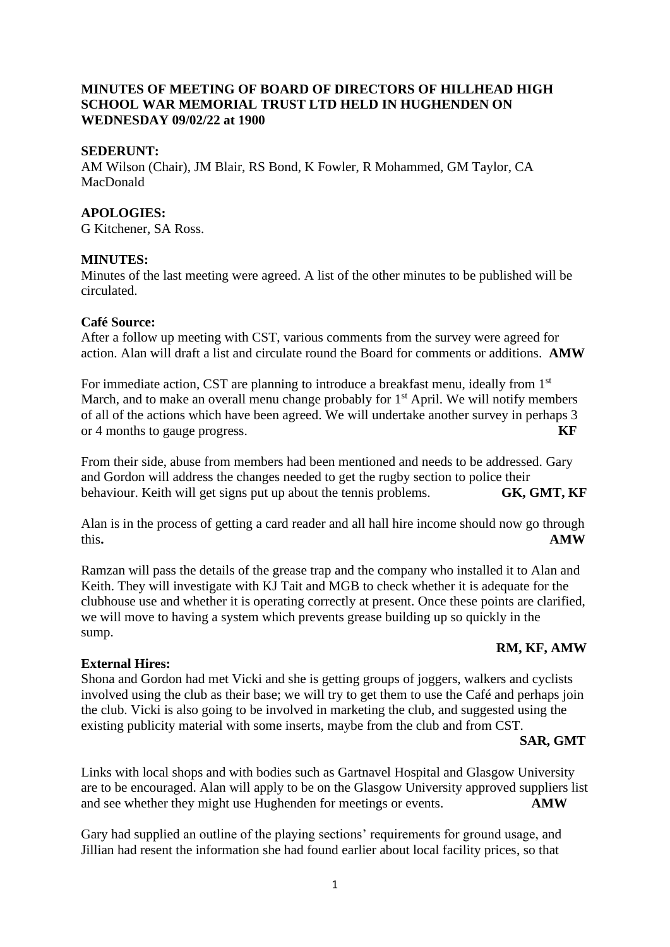# **MINUTES OF MEETING OF BOARD OF DIRECTORS OF HILLHEAD HIGH SCHOOL WAR MEMORIAL TRUST LTD HELD IN HUGHENDEN ON WEDNESDAY 09/02/22 at 1900**

### **SEDERUNT:**

AM Wilson (Chair), JM Blair, RS Bond, K Fowler, R Mohammed, GM Taylor, CA MacDonald

### **APOLOGIES:**

G Kitchener, SA Ross.

# **MINUTES:**

Minutes of the last meeting were agreed. A list of the other minutes to be published will be circulated.

#### **Café Source:**

After a follow up meeting with CST, various comments from the survey were agreed for action. Alan will draft a list and circulate round the Board for comments or additions. **AMW** 

For immediate action, CST are planning to introduce a breakfast menu, ideally from 1<sup>st</sup> March, and to make an overall menu change probably for  $1<sup>st</sup>$  April. We will notify members of all of the actions which have been agreed. We will undertake another survey in perhaps 3 or 4 months to gauge progress. **KF**

From their side, abuse from members had been mentioned and needs to be addressed. Gary and Gordon will address the changes needed to get the rugby section to police their behaviour. Keith will get signs put up about the tennis problems. **GK, GMT, KF**

Alan is in the process of getting a card reader and all hall hire income should now go through this**. AMW**

Ramzan will pass the details of the grease trap and the company who installed it to Alan and Keith. They will investigate with KJ Tait and MGB to check whether it is adequate for the clubhouse use and whether it is operating correctly at present. Once these points are clarified, we will move to having a system which prevents grease building up so quickly in the sump.

# **RM, KF, AMW**

# **External Hires:**

Shona and Gordon had met Vicki and she is getting groups of joggers, walkers and cyclists involved using the club as their base; we will try to get them to use the Café and perhaps join the club. Vicki is also going to be involved in marketing the club, and suggested using the existing publicity material with some inserts, maybe from the club and from CST.

#### **SAR, GMT**

Links with local shops and with bodies such as Gartnavel Hospital and Glasgow University are to be encouraged. Alan will apply to be on the Glasgow University approved suppliers list and see whether they might use Hughenden for meetings or events. **AMW**

Gary had supplied an outline of the playing sections' requirements for ground usage, and Jillian had resent the information she had found earlier about local facility prices, so that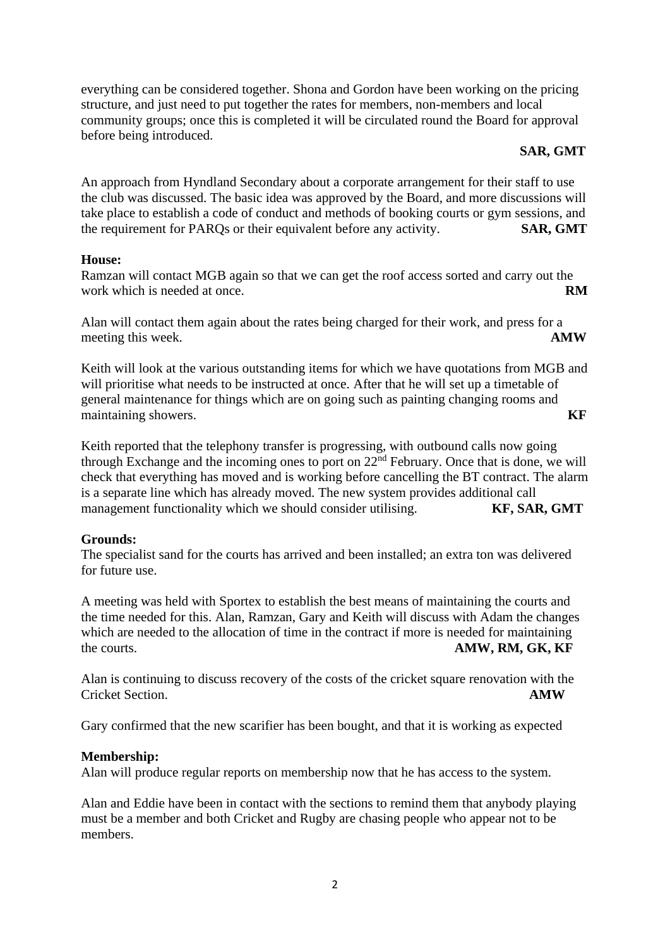everything can be considered together. Shona and Gordon have been working on the pricing structure, and just need to put together the rates for members, non-members and local community groups; once this is completed it will be circulated round the Board for approval before being introduced.

# **SAR, GMT**

An approach from Hyndland Secondary about a corporate arrangement for their staff to use the club was discussed. The basic idea was approved by the Board, and more discussions will take place to establish a code of conduct and methods of booking courts or gym sessions, and the requirement for PARQs or their equivalent before any activity. **SAR, GMT** 

# **House:**

Ramzan will contact MGB again so that we can get the roof access sorted and carry out the work which is needed at once. **RM** 

Alan will contact them again about the rates being charged for their work, and press for a meeting this week. **AMW** 

Keith will look at the various outstanding items for which we have quotations from MGB and will prioritise what needs to be instructed at once. After that he will set up a timetable of general maintenance for things which are on going such as painting changing rooms and maintaining showers. **KF**

Keith reported that the telephony transfer is progressing, with outbound calls now going through Exchange and the incoming ones to port on  $22<sup>nd</sup>$  February. Once that is done, we will check that everything has moved and is working before cancelling the BT contract. The alarm is a separate line which has already moved. The new system provides additional call management functionality which we should consider utilising. **KF, SAR, GMT** 

# **Grounds:**

The specialist sand for the courts has arrived and been installed; an extra ton was delivered for future use.

A meeting was held with Sportex to establish the best means of maintaining the courts and the time needed for this. Alan, Ramzan, Gary and Keith will discuss with Adam the changes which are needed to the allocation of time in the contract if more is needed for maintaining the courts. **AMW, RM, GK, KF** 

Alan is continuing to discuss recovery of the costs of the cricket square renovation with the Cricket Section. **AMW**

Gary confirmed that the new scarifier has been bought, and that it is working as expected

# **Membership:**

Alan will produce regular reports on membership now that he has access to the system.

Alan and Eddie have been in contact with the sections to remind them that anybody playing must be a member and both Cricket and Rugby are chasing people who appear not to be members.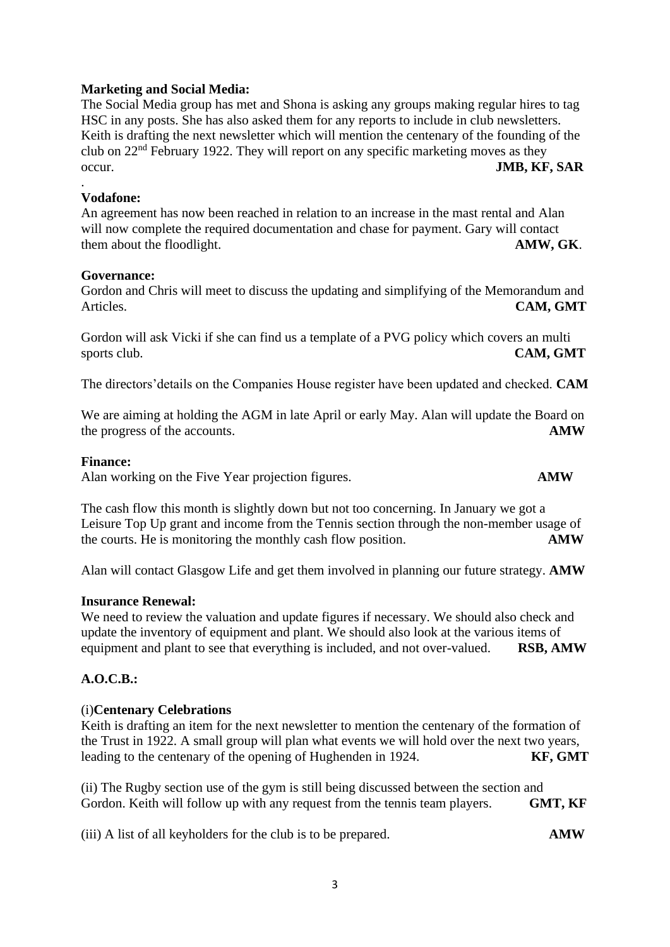### 3

### **Marketing and Social Media:**

The Social Media group has met and Shona is asking any groups making regular hires to tag HSC in any posts. She has also asked them for any reports to include in club newsletters. Keith is drafting the next newsletter which will mention the centenary of the founding of the club on 22nd February 1922. They will report on any specific marketing moves as they occur. **JMB, KF, SAR**

#### **Vodafone:**

.

An agreement has now been reached in relation to an increase in the mast rental and Alan will now complete the required documentation and chase for payment. Gary will contact them about the floodlight. **AMW, GK**.

#### **Governance:**

Gordon and Chris will meet to discuss the updating and simplifying of the Memorandum and Articles. **CAM, GMT**

Gordon will ask Vicki if she can find us a template of a PVG policy which covers an multi sports club. **CAM, GMT** 

The directors'details on the Companies House register have been updated and checked. **CAM**

We are aiming at holding the AGM in late April or early May. Alan will update the Board on the progress of the accounts. **AMW**

#### **Finance:**

Alan working on the Five Year projection figures. **AMW** 

The cash flow this month is slightly down but not too concerning. In January we got a Leisure Top Up grant and income from the Tennis section through the non-member usage of the courts. He is monitoring the monthly cash flow position. **AMW**

Alan will contact Glasgow Life and get them involved in planning our future strategy. **AMW**

#### **Insurance Renewal:**

We need to review the valuation and update figures if necessary. We should also check and update the inventory of equipment and plant. We should also look at the various items of equipment and plant to see that everything is included, and not over-valued. **RSB, AMW**

# **A.O.C.B.:**

#### (i)**Centenary Celebrations**

Keith is drafting an item for the next newsletter to mention the centenary of the formation of the Trust in 1922. A small group will plan what events we will hold over the next two years, leading to the centenary of the opening of Hughenden in 1924. **KF, GMT**

(ii) The Rugby section use of the gym is still being discussed between the section and Gordon. Keith will follow up with any request from the tennis team players. **GMT, KF** 

(iii) A list of all keyholders for the club is to be prepared. **AMW**